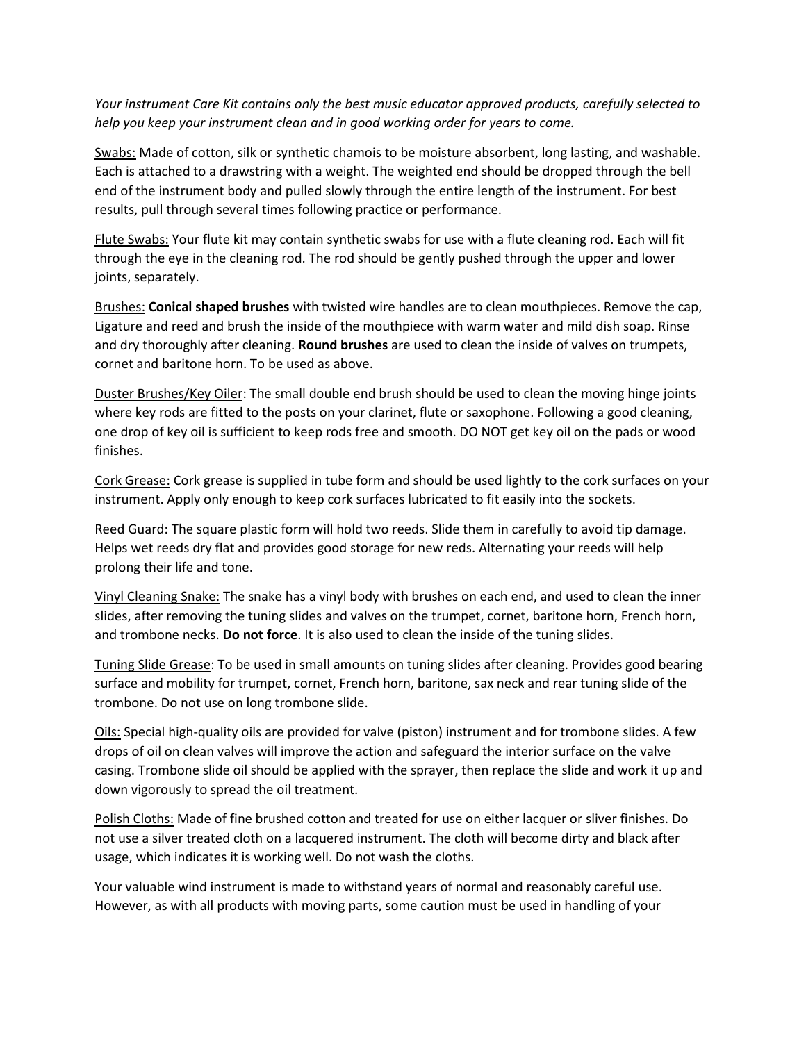*Your instrument Care Kit contains only the best music educator approved products, carefully selected to help you keep your instrument clean and in good working order for years to come.*

Swabs: Made of cotton, silk or synthetic chamois to be moisture absorbent, long lasting, and washable. Each is attached to a drawstring with a weight. The weighted end should be dropped through the bell end of the instrument body and pulled slowly through the entire length of the instrument. For best results, pull through several times following practice or performance.

Flute Swabs: Your flute kit may contain synthetic swabs for use with a flute cleaning rod. Each will fit through the eye in the cleaning rod. The rod should be gently pushed through the upper and lower joints, separately.

Brushes: **Conical shaped brushes** with twisted wire handles are to clean mouthpieces. Remove the cap, Ligature and reed and brush the inside of the mouthpiece with warm water and mild dish soap. Rinse and dry thoroughly after cleaning. **Round brushes** are used to clean the inside of valves on trumpets, cornet and baritone horn. To be used as above.

Duster Brushes/Key Oiler: The small double end brush should be used to clean the moving hinge joints where key rods are fitted to the posts on your clarinet, flute or saxophone. Following a good cleaning, one drop of key oil is sufficient to keep rods free and smooth. DO NOT get key oil on the pads or wood finishes.

Cork Grease: Cork grease is supplied in tube form and should be used lightly to the cork surfaces on your instrument. Apply only enough to keep cork surfaces lubricated to fit easily into the sockets.

Reed Guard: The square plastic form will hold two reeds. Slide them in carefully to avoid tip damage. Helps wet reeds dry flat and provides good storage for new reds. Alternating your reeds will help prolong their life and tone.

Vinyl Cleaning Snake: The snake has a vinyl body with brushes on each end, and used to clean the inner slides, after removing the tuning slides and valves on the trumpet, cornet, baritone horn, French horn, and trombone necks. **Do not force**. It is also used to clean the inside of the tuning slides.

Tuning Slide Grease: To be used in small amounts on tuning slides after cleaning. Provides good bearing surface and mobility for trumpet, cornet, French horn, baritone, sax neck and rear tuning slide of the trombone. Do not use on long trombone slide.

Oils: Special high-quality oils are provided for valve (piston) instrument and for trombone slides. A few drops of oil on clean valves will improve the action and safeguard the interior surface on the valve casing. Trombone slide oil should be applied with the sprayer, then replace the slide and work it up and down vigorously to spread the oil treatment.

Polish Cloths: Made of fine brushed cotton and treated for use on either lacquer or sliver finishes. Do not use a silver treated cloth on a lacquered instrument. The cloth will become dirty and black after usage, which indicates it is working well. Do not wash the cloths.

Your valuable wind instrument is made to withstand years of normal and reasonably careful use. However, as with all products with moving parts, some caution must be used in handling of your